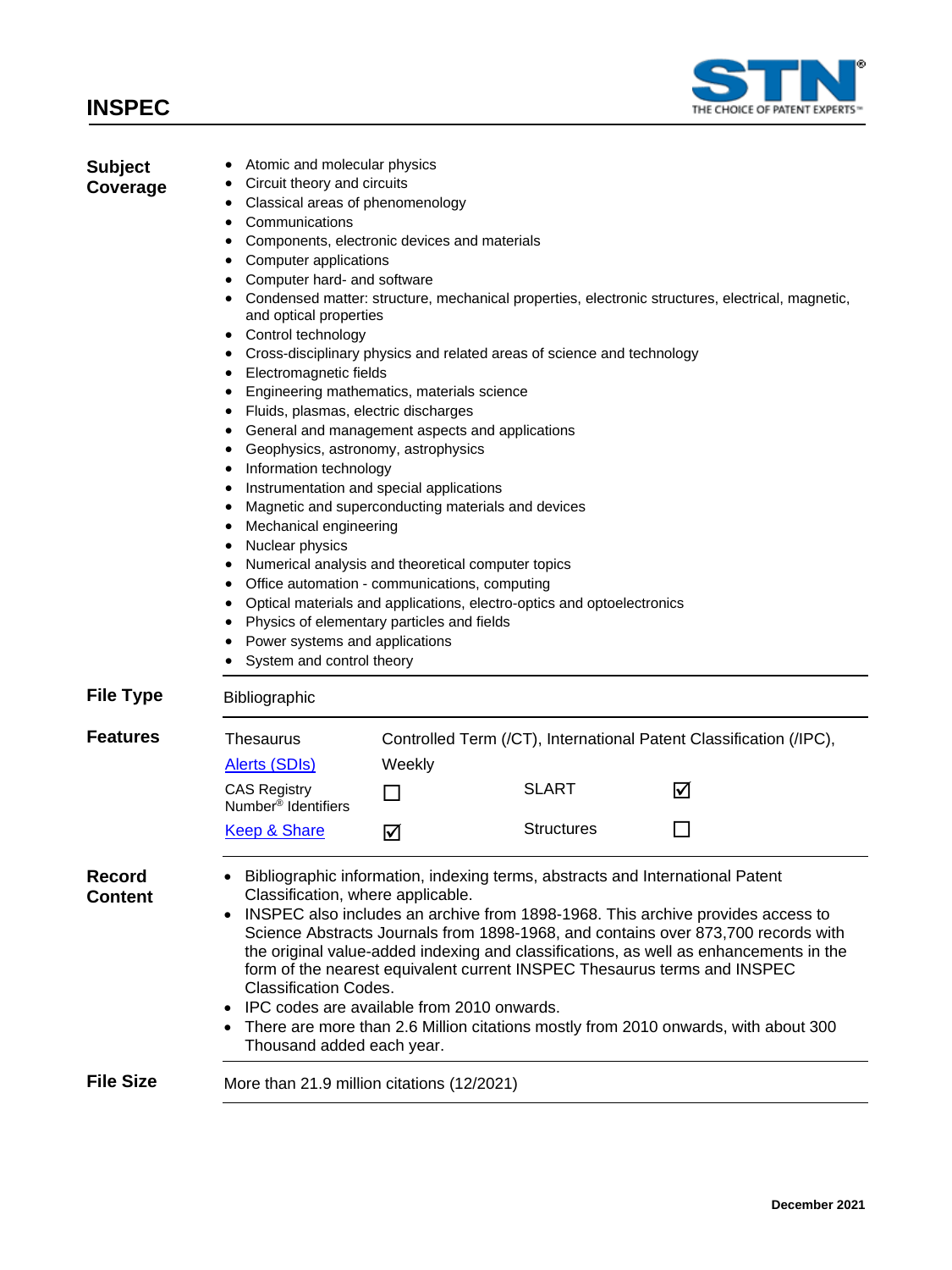### **INSPEC**



| <b>Subject</b><br>Coverage      | Atomic and molecular physics<br>Circuit theory and circuits<br>Classical areas of phenomenology<br>$\bullet$<br>Communications<br>$\bullet$<br>Components, electronic devices and materials<br>$\bullet$<br>Computer applications<br>$\bullet$<br>Computer hard- and software<br>Condensed matter: structure, mechanical properties, electronic structures, electrical, magnetic,<br>and optical properties<br>Control technology<br>٠<br>Cross-disciplinary physics and related areas of science and technology<br>Electromagnetic fields<br>Engineering mathematics, materials science<br>Fluids, plasmas, electric discharges<br>General and management aspects and applications<br>Geophysics, astronomy, astrophysics<br>Information technology<br>Instrumentation and special applications<br>٠<br>Magnetic and superconducting materials and devices<br>٠<br>Mechanical engineering<br>Nuclear physics<br>Numerical analysis and theoretical computer topics<br>Office automation - communications, computing<br>Optical materials and applications, electro-optics and optoelectronics<br>Physics of elementary particles and fields<br>Power systems and applications<br>System and control theory |        |                   |                                                                    |  |
|---------------------------------|-------------------------------------------------------------------------------------------------------------------------------------------------------------------------------------------------------------------------------------------------------------------------------------------------------------------------------------------------------------------------------------------------------------------------------------------------------------------------------------------------------------------------------------------------------------------------------------------------------------------------------------------------------------------------------------------------------------------------------------------------------------------------------------------------------------------------------------------------------------------------------------------------------------------------------------------------------------------------------------------------------------------------------------------------------------------------------------------------------------------------------------------------------------------------------------------------------------|--------|-------------------|--------------------------------------------------------------------|--|
| <b>File Type</b>                | Bibliographic                                                                                                                                                                                                                                                                                                                                                                                                                                                                                                                                                                                                                                                                                                                                                                                                                                                                                                                                                                                                                                                                                                                                                                                               |        |                   |                                                                    |  |
| <b>Features</b>                 | Thesaurus                                                                                                                                                                                                                                                                                                                                                                                                                                                                                                                                                                                                                                                                                                                                                                                                                                                                                                                                                                                                                                                                                                                                                                                                   |        |                   | Controlled Term (/CT), International Patent Classification (/IPC), |  |
|                                 | Alerts (SDIs)<br><b>CAS Registry</b><br>Number <sup>®</sup> Identifiers                                                                                                                                                                                                                                                                                                                                                                                                                                                                                                                                                                                                                                                                                                                                                                                                                                                                                                                                                                                                                                                                                                                                     | Weekly | <b>SLART</b>      | ☑                                                                  |  |
|                                 | <b>Keep &amp; Share</b>                                                                                                                                                                                                                                                                                                                                                                                                                                                                                                                                                                                                                                                                                                                                                                                                                                                                                                                                                                                                                                                                                                                                                                                     | ☑      | <b>Structures</b> |                                                                    |  |
| <b>Record</b><br><b>Content</b> | Bibliographic information, indexing terms, abstracts and International Patent<br>Classification, where applicable.<br>INSPEC also includes an archive from 1898-1968. This archive provides access to<br>$\bullet$<br>Science Abstracts Journals from 1898-1968, and contains over 873,700 records with<br>the original value-added indexing and classifications, as well as enhancements in the<br>form of the nearest equivalent current INSPEC Thesaurus terms and INSPEC<br><b>Classification Codes.</b><br>IPC codes are available from 2010 onwards.<br>There are more than 2.6 Million citations mostly from 2010 onwards, with about 300<br>Thousand added each year.                                                                                                                                                                                                                                                                                                                                                                                                                                                                                                                               |        |                   |                                                                    |  |
| <b>File Size</b>                | More than 21.9 million citations (12/2021)                                                                                                                                                                                                                                                                                                                                                                                                                                                                                                                                                                                                                                                                                                                                                                                                                                                                                                                                                                                                                                                                                                                                                                  |        |                   |                                                                    |  |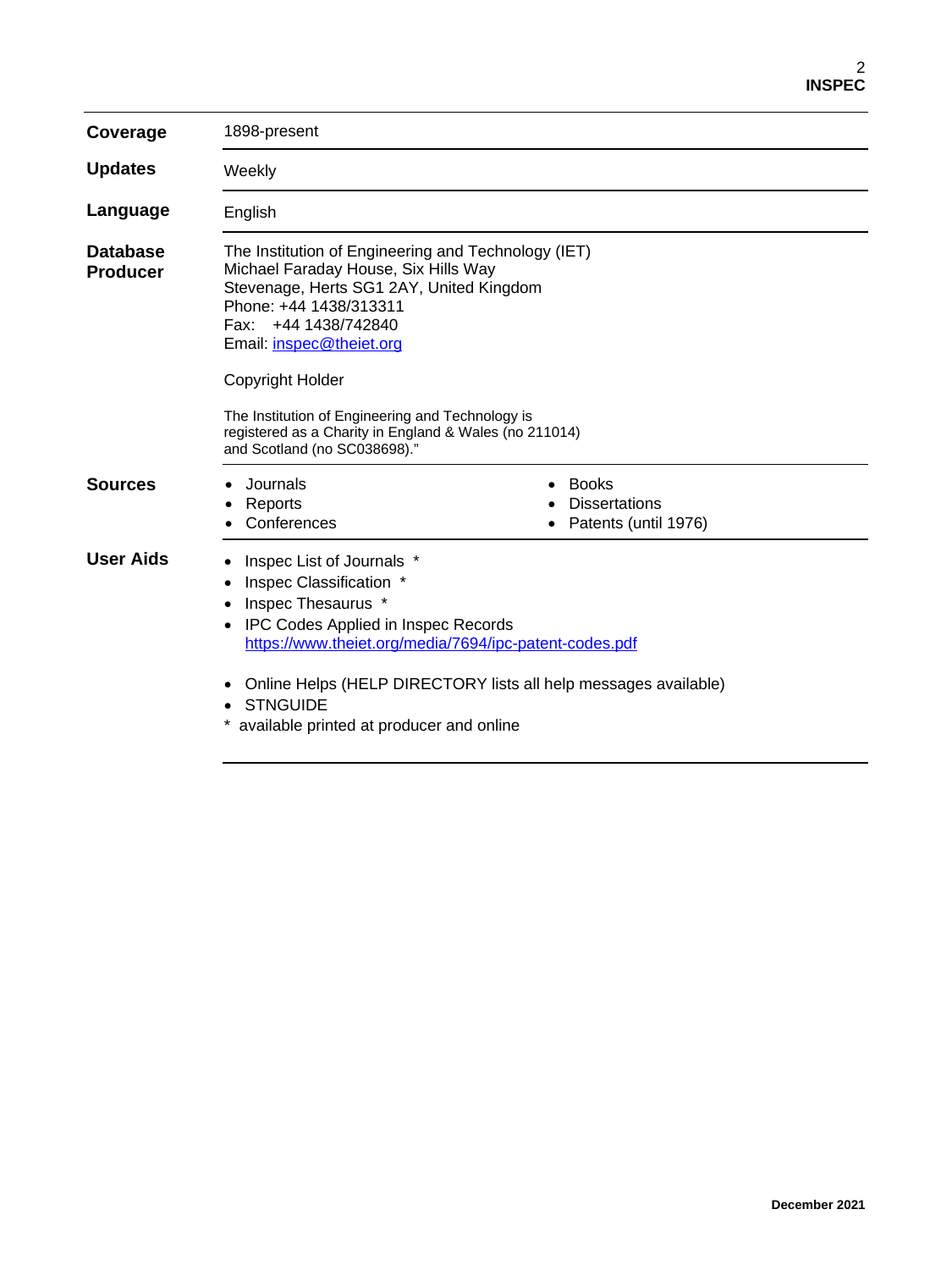| Coverage                           | 1898-present                                                                                                                                                                                                                                                                                                                                                                            |                                                              |  |
|------------------------------------|-----------------------------------------------------------------------------------------------------------------------------------------------------------------------------------------------------------------------------------------------------------------------------------------------------------------------------------------------------------------------------------------|--------------------------------------------------------------|--|
| <b>Updates</b>                     | Weekly                                                                                                                                                                                                                                                                                                                                                                                  |                                                              |  |
| Language                           | English                                                                                                                                                                                                                                                                                                                                                                                 |                                                              |  |
| <b>Database</b><br><b>Producer</b> | The Institution of Engineering and Technology (IET)<br>Michael Faraday House, Six Hills Way<br>Stevenage, Herts SG1 2AY, United Kingdom<br>Phone: +44 1438/313311<br>Fax: +44 1438/742840<br>Email: inspec@theiet.org<br>Copyright Holder<br>The Institution of Engineering and Technology is<br>registered as a Charity in England & Wales (no 211014)<br>and Scotland (no SC038698)." |                                                              |  |
| <b>Sources</b>                     | Journals<br>Reports<br>Conferences                                                                                                                                                                                                                                                                                                                                                      | <b>Books</b><br><b>Dissertations</b><br>Patents (until 1976) |  |
| <b>User Aids</b>                   | Inspec List of Journals *<br>Inspec Classification *<br>٠<br>Inspec Thesaurus *<br><b>IPC Codes Applied in Inspec Records</b><br>https://www.theiet.org/media/7694/ipc-patent-codes.pdf<br>Online Helps (HELP DIRECTORY lists all help messages available)                                                                                                                              |                                                              |  |
|                                    | <b>STNGUIDE</b><br>available printed at producer and online                                                                                                                                                                                                                                                                                                                             |                                                              |  |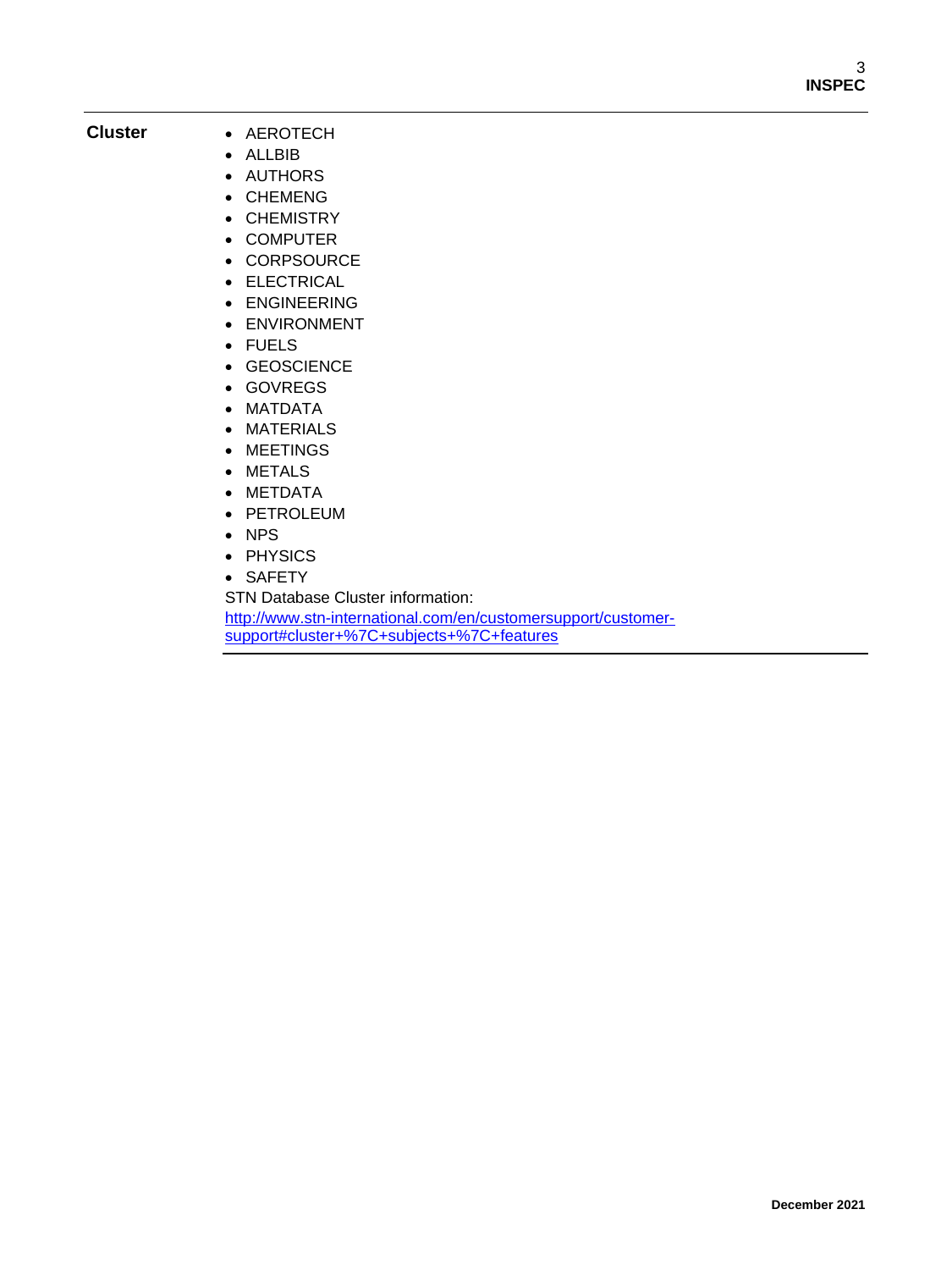#### **Cluster** • AEROTECH

- ALLBIB
- AUTHORS
- CHEMENG
- CHEMISTRY
- COMPUTER
- CORPSOURCE
- ELECTRICAL
- ENGINEERING
- ENVIRONMENT
- FUELS
- GEOSCIENCE
- GOVREGS
- MATDATA
- MATERIALS
- MEETINGS
- METALS
- METDATA
- PETROLEUM
- NPS
- PHYSICS
- SAFETY

STN Database Cluster information:

[http://www.stn-international.com/en/customersupport/customer](http://www.stn-international.com/en/customersupport/customer-support#cluster+%7C+subjects+%7C+features)[support#cluster+%7C+subjects+%7C+features](http://www.stn-international.com/en/customersupport/customer-support#cluster+%7C+subjects+%7C+features)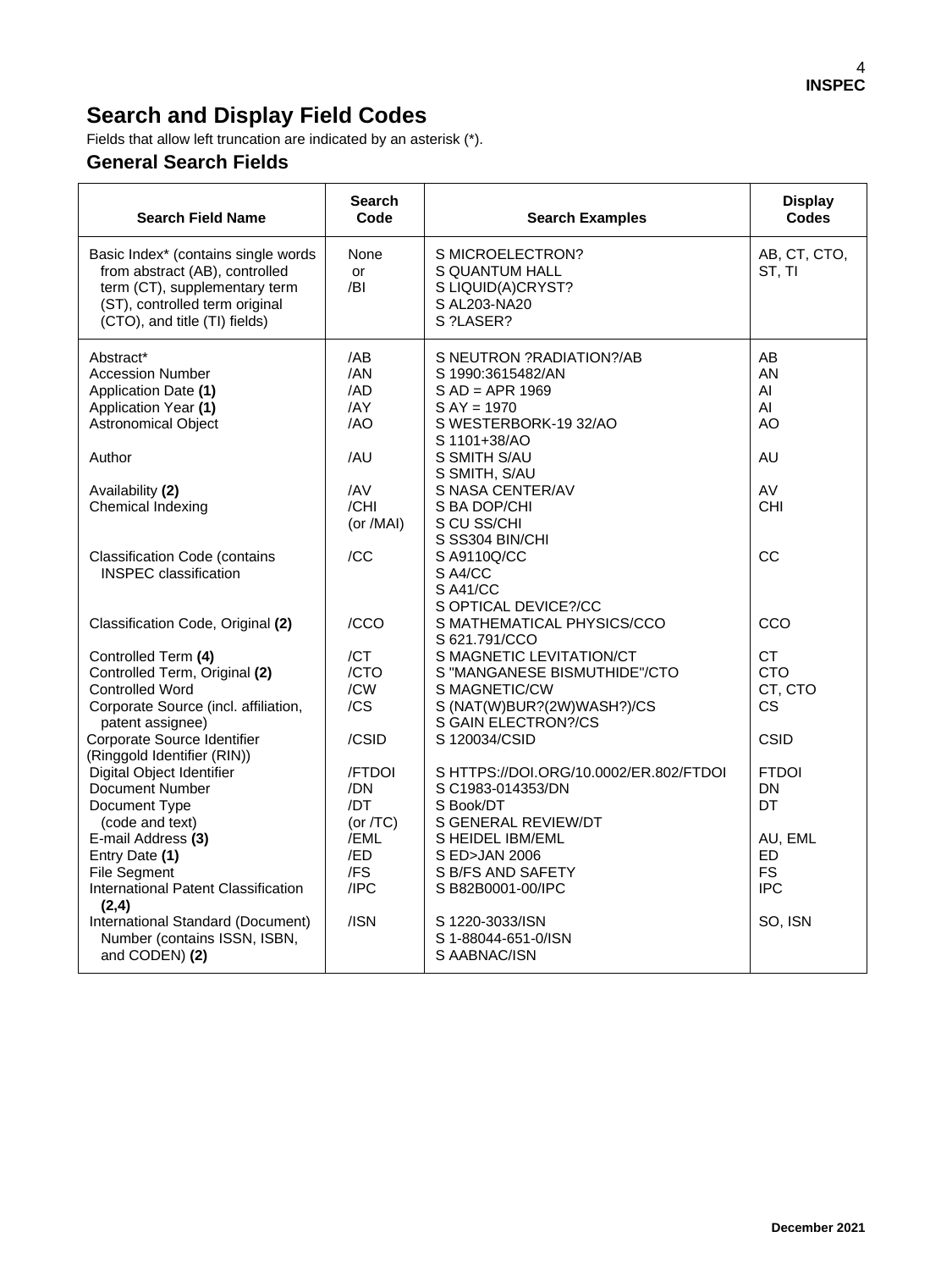## **Search and Display Field Codes**

Fields that allow left truncation are indicated by an asterisk (\*).

#### **General Search Fields**

| <b>Search Field Name</b>                                                                                                                                                                                                                                                               | <b>Search</b><br>Code                                                       | <b>Search Examples</b>                                                                                                                                                                                                                 | <b>Display</b><br><b>Codes</b>                                                          |
|----------------------------------------------------------------------------------------------------------------------------------------------------------------------------------------------------------------------------------------------------------------------------------------|-----------------------------------------------------------------------------|----------------------------------------------------------------------------------------------------------------------------------------------------------------------------------------------------------------------------------------|-----------------------------------------------------------------------------------------|
| Basic Index* (contains single words<br>from abstract (AB), controlled<br>term (CT), supplementary term<br>(ST), controlled term original<br>(CTO), and title (TI) fields)                                                                                                              | None<br><b>or</b><br>/BI                                                    | S MICROELECTRON?<br><b>S QUANTUM HALL</b><br>S LIQUID(A)CRYST?<br>S AL203-NA20<br>S ?LASER?                                                                                                                                            | AB, CT, CTO,<br>ST, TI                                                                  |
| Abstract*<br><b>Accession Number</b><br>Application Date (1)<br>Application Year (1)<br><b>Astronomical Object</b><br>Author<br>Availability (2)<br>Chemical Indexing                                                                                                                  | /AB<br>/AN<br>/AD<br>/AY<br>/AO<br>/AU<br>/AV<br>/CHI                       | S NEUTRON ?RADIATION?/AB<br>S 1990:3615482/AN<br>$S AD = APR 1969$<br>$S AY = 1970$<br>S WESTERBORK-19 32/AO<br>S 1101+38/AO<br>S SMITH S/AU<br>S SMITH, S/AU<br>S NASA CENTER/AV<br>S BA DOP/CHI                                      | AB<br>AN<br>AI<br>AI<br>AO<br>AU<br>AV<br><b>CHI</b>                                    |
| <b>Classification Code (contains</b><br><b>INSPEC</b> classification                                                                                                                                                                                                                   | (or /MAI)<br>/CC                                                            | S CU SS/CHI<br>S SS304 BIN/CHI<br>S A9110Q/CC<br>S A4/CC<br>S A41/CC<br>S OPTICAL DEVICE?/CC                                                                                                                                           | CC                                                                                      |
| Classification Code, Original (2)<br>Controlled Term (4)<br>Controlled Term, Original (2)<br><b>Controlled Word</b><br>Corporate Source (incl. affiliation,<br>patent assignee)<br>Corporate Source Identifier<br>(Ringgold Identifier (RIN))                                          | /CCO<br>/CT<br>/CTO<br>/CW<br>/CS<br>/CSID                                  | S MATHEMATICAL PHYSICS/CCO<br>S 621.791/CCO<br>S MAGNETIC LEVITATION/CT<br>S "MANGANESE BISMUTHIDE"/CTO<br>S MAGNETIC/CW<br>S (NAT(W)BUR?(2W)WASH?)/CS<br>S GAIN ELECTRON?/CS<br>S 120034/CSID                                         | CCO<br>CT.<br><b>CTO</b><br>CT, CTO<br><b>CS</b><br>CSID                                |
| Digital Object Identifier<br>Document Number<br>Document Type<br>(code and text)<br>E-mail Address (3)<br>Entry Date (1)<br><b>File Segment</b><br>International Patent Classification<br>(2,4)<br>International Standard (Document)<br>Number (contains ISSN, ISBN,<br>and CODEN) (2) | /FTDOI<br>/DN<br>/DT<br>(or $/TC$ )<br>/EML<br>/ED<br>/FS<br>IPC<br>$/$ ISN | SHTTPS://DOI.ORG/10.0002/ER.802/FTDOI<br>S C1983-014353/DN<br>S Book/DT<br>S GENERAL REVIEW/DT<br>S HEIDEL IBM/EML<br>S ED>JAN 2006<br>S B/FS AND SAFETY<br>SB82B0001-00/IPC<br>S 1220-3033/ISN<br>S 1-88044-651-0/ISN<br>S AABNAC/ISN | <b>FTDOI</b><br>DN<br><b>DT</b><br>AU, EML<br>ED.<br><b>FS</b><br><b>IPC</b><br>SO, ISN |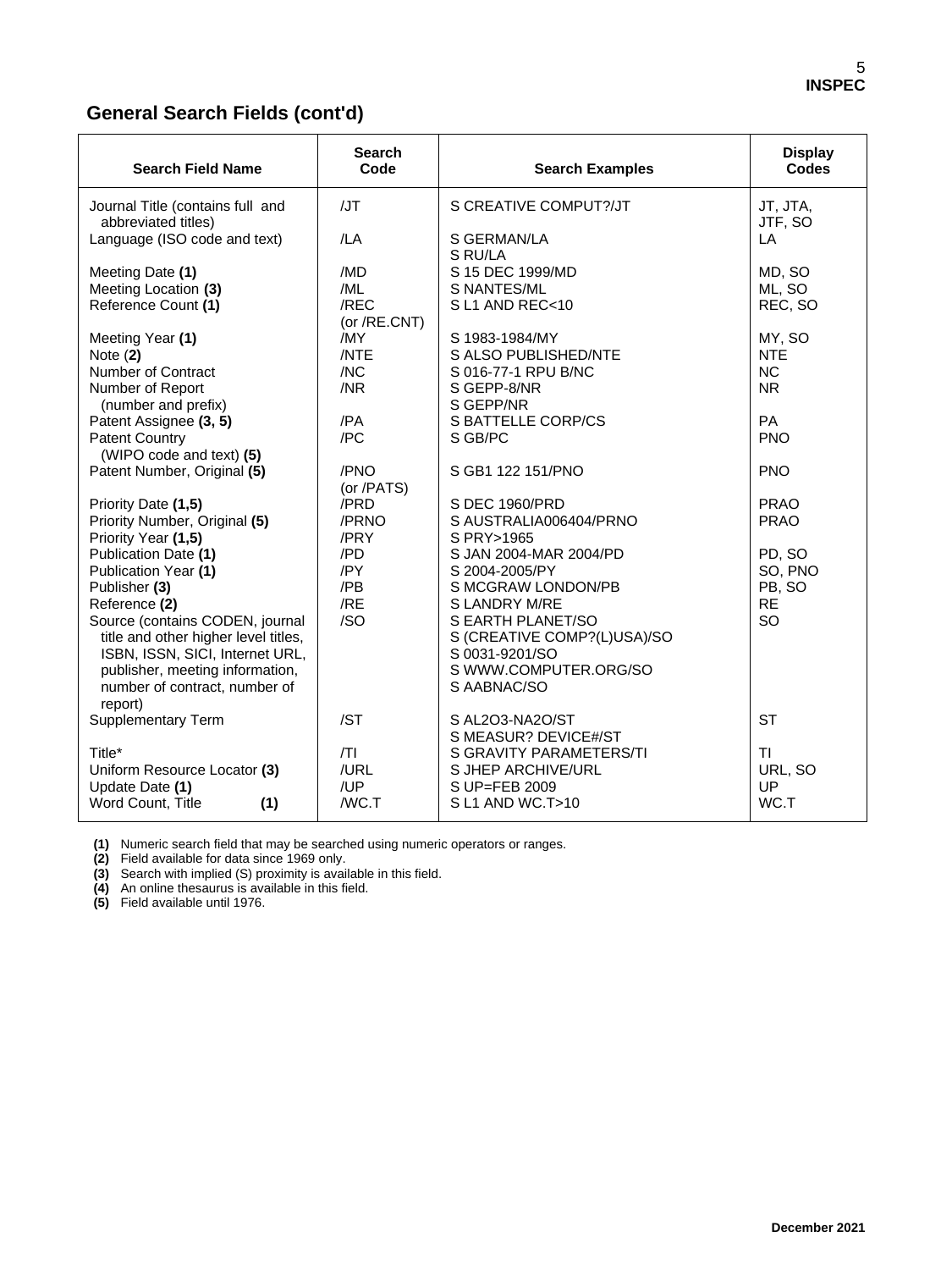#### **General Search Fields (cont'd)**

| <b>Search Field Name</b>                                | <b>Search</b><br>Code | <b>Search Examples</b>                  | <b>Display</b><br><b>Codes</b> |
|---------------------------------------------------------|-----------------------|-----------------------------------------|--------------------------------|
| Journal Title (contains full and<br>abbreviated titles) | /JT                   | S CREATIVE COMPUT?/JT                   | JT, JTA,<br>JTF, SO            |
| Language (ISO code and text)                            | /LA                   | S GERMAN/LA<br>S RU/LA                  | LA                             |
| Meeting Date (1)                                        | /MD                   | S 15 DEC 1999/MD                        | MD, SO                         |
| Meeting Location (3)                                    | /ML                   | S NANTES/ML                             | ML, SO                         |
| Reference Count (1)                                     | /REC<br>(or /RE.CNT)  | SL1 AND REC<10                          | REC, SO                        |
| Meeting Year (1)                                        | /MY                   | S 1983-1984/MY                          | MY, SO                         |
| Note $(2)$                                              | /NTE                  | S ALSO PUBLISHED/NTE                    | <b>NTE</b>                     |
| Number of Contract                                      | /NC                   | S 016-77-1 RPU B/NC                     | <b>NC</b>                      |
| Number of Report                                        | /NR                   | S GEPP-8/NR                             | N <sub>R</sub>                 |
| (number and prefix)                                     |                       | S GEPP/NR                               |                                |
| Patent Assignee (3, 5)                                  | /PA                   | <b>S BATTELLE CORP/CS</b>               | <b>PA</b>                      |
| <b>Patent Country</b><br>(WIPO code and text) (5)       | /PC                   | S GB/PC                                 | <b>PNO</b>                     |
| Patent Number, Original (5)                             | /PNO<br>(or /PATS)    | S GB1 122 151/PNO                       | <b>PNO</b>                     |
| Priority Date (1,5)                                     | /PRD                  | S DEC 1960/PRD                          | <b>PRAO</b>                    |
| Priority Number, Original (5)                           | /PRNO                 | S AUSTRALIA006404/PRNO                  | <b>PRAO</b>                    |
| Priority Year (1,5)                                     | /PRY                  | S PRY>1965                              |                                |
| Publication Date (1)                                    | /PD                   | S JAN 2004-MAR 2004/PD                  | PD, SO                         |
| Publication Year (1)                                    | /PY                   | S 2004-2005/PY                          | SO, PNO                        |
| Publisher (3)                                           | /PB                   | S MCGRAW LONDON/PB                      | PB, SO                         |
| Reference (2)                                           | /RE                   | S LANDRY M/RE                           | <b>RE</b>                      |
| Source (contains CODEN, journal                         | /SO                   | S EARTH PLANET/SO                       | SO                             |
| title and other higher level titles,                    |                       | S (CREATIVE COMP?(L)USA)/SO             |                                |
| ISBN, ISSN, SICI, Internet URL,                         |                       | S 0031-9201/SO                          |                                |
| publisher, meeting information,                         |                       | S WWW.COMPUTER.ORG/SO                   |                                |
| number of contract, number of                           |                       | S AABNAC/SO                             |                                |
| report)                                                 |                       |                                         |                                |
| <b>Supplementary Term</b>                               | /ST                   | S AL2O3-NA2O/ST<br>S MEASUR? DEVICE#/ST | <b>ST</b>                      |
| Title*                                                  | T                     | S GRAVITY PARAMETERS/TI                 | <b>TI</b>                      |
| Uniform Resource Locator (3)                            | /URL                  | S JHEP ARCHIVE/URL                      | URL, SO                        |
| Update Date (1)                                         | /UP                   | S UP=FEB 2009                           | UP                             |
| Word Count, Title<br>(1)                                | /WC.T                 | S L1 AND WC.T>10                        | WC.T                           |
|                                                         |                       |                                         |                                |

 **(1)** Numeric search field that may be searched using numeric operators or ranges.

 **(2)** Field available for data since 1969 only.

 **(3)** Search with implied (S) proximity is available in this field.

 **(4)** An online thesaurus is available in this field.

 **(5)** Field available until 1976.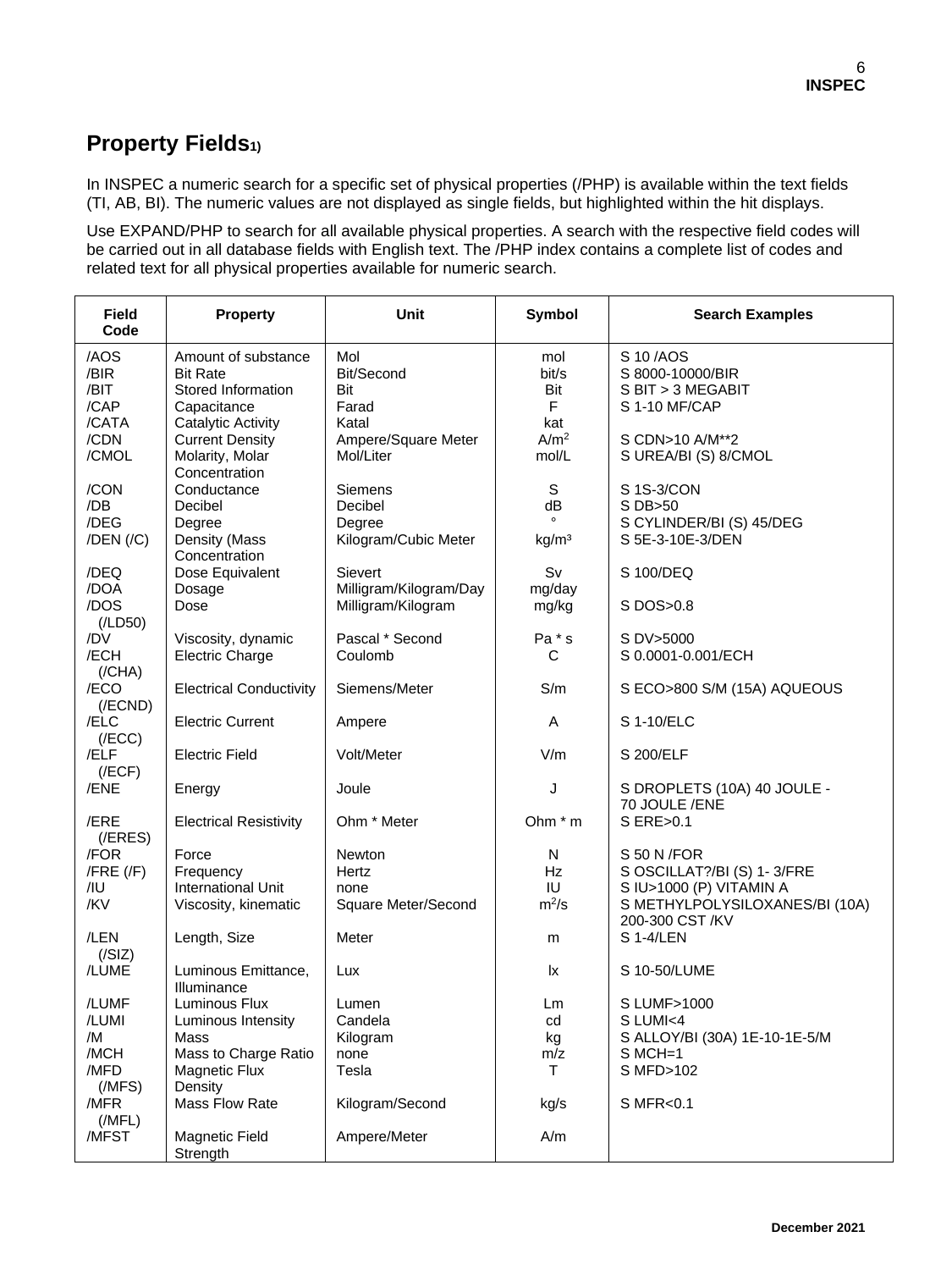## **Property Fields1)**

In INSPEC a numeric search for a specific set of physical properties (/PHP) is available within the text fields (TI, AB, BI). The numeric values are not displayed as single fields, but highlighted within the hit displays.

Use EXPAND/PHP to search for all available physical properties. A search with the respective field codes will be carried out in all database fields with English text. The /PHP index contains a complete list of codes and related text for all physical properties available for numeric search.

| <b>Field</b><br>Code                          | <b>Property</b>                                                                                        | <b>Unit</b>                                    | <b>Symbol</b>                    | <b>Search Examples</b>                                                                                  |
|-----------------------------------------------|--------------------------------------------------------------------------------------------------------|------------------------------------------------|----------------------------------|---------------------------------------------------------------------------------------------------------|
| /AOS<br>/BIR<br>/BIT<br>/CAP                  | Amount of substance<br><b>Bit Rate</b><br>Stored Information<br>Capacitance                            | Mol<br>Bit/Second<br>Bit<br>Farad              | mol<br>bit/s<br>Bit<br>F         | S 10/AOS<br>S 8000-10000/BIR<br>S BIT > 3 MEGABIT<br>S 1-10 MF/CAP                                      |
| /CATA<br>/CDN<br>/CMOL                        | <b>Catalytic Activity</b><br><b>Current Density</b><br>Molarity, Molar<br>Concentration                | Katal<br>Ampere/Square Meter<br>Mol/Liter      | kat<br>A/m <sup>2</sup><br>mol/L | S CDN>10 A/M**2<br>S UREA/BI (S) 8/CMOL                                                                 |
| /CON<br>/DB                                   | Conductance<br>Decibel                                                                                 | Siemens<br>Decibel                             | S<br>dB                          | S 1S-3/CON<br>S DB>50                                                                                   |
| /DEG<br>$/$ DEN $/$ $/$ C $)$                 | Degree<br>Density (Mass<br>Concentration                                                               | Degree<br>Kilogram/Cubic Meter                 | kg/m <sup>3</sup>                | S CYLINDER/BI (S) 45/DEG<br>S 5E-3-10E-3/DEN                                                            |
| /DEQ<br>/DOA                                  | Dose Equivalent<br>Dosage                                                                              | Sievert<br>Milligram/Kilogram/Day              | Sv<br>mg/day                     | S 100/DEQ                                                                                               |
| /DOS<br>(ILD50)                               | Dose                                                                                                   | Milligram/Kilogram                             | mg/kg                            | S DOS>0.8                                                                                               |
| /DV<br>/ECH<br>(/CHA)                         | Viscosity, dynamic<br><b>Electric Charge</b>                                                           | Pascal * Second<br>Coulomb                     | Pa * s<br>C                      | S DV>5000<br>S 0.0001-0.001/ECH                                                                         |
| /ECO<br>$($ /ECND $)$                         | <b>Electrical Conductivity</b>                                                                         | Siemens/Meter                                  | S/m                              | S ECO>800 S/M (15A) AQUEOUS                                                                             |
| /ELC<br>(/ECC)                                | <b>Electric Current</b>                                                                                | Ampere                                         | Α                                | S 1-10/ELC                                                                                              |
| /ELF<br>(/ECF)                                | <b>Electric Field</b>                                                                                  | Volt/Meter                                     | V/m                              | S 200/ELF                                                                                               |
| /ENE                                          | Energy                                                                                                 | Joule                                          | J                                | S DROPLETS (10A) 40 JOULE -<br>70 JOULE /ENE                                                            |
| /ERE<br>(/ERES)                               | <b>Electrical Resistivity</b>                                                                          | Ohm * Meter                                    | Ohm * m                          | S ERE>0.1                                                                                               |
| /FOR<br>$/$ FRE $($ /F $)$<br>/IU<br>/KV      | Force<br>Frequency<br><b>International Unit</b><br>Viscosity, kinematic                                | Newton<br>Hertz<br>none<br>Square Meter/Second | N<br><b>Hz</b><br>IU<br>$m^2/s$  | S 50 N / FOR<br>S OSCILLAT?/BI (S) 1-3/FRE<br>S IU>1000 (P) VITAMIN A<br>S METHYLPOLYSILOXANES/BI (10A) |
| /LEN<br>(/SIZ)                                | Length, Size                                                                                           | Meter                                          | m                                | 200-300 CST /KV<br>S 1-4/LEN                                                                            |
| /LUME                                         | Luminous Emittance,<br>Illuminance                                                                     | Lux                                            | lx                               | S 10-50/LUME                                                                                            |
| /LUMF<br>/LUMI<br>/M<br>/MCH<br>/MFD<br>(MFS) | Luminous Flux<br>Luminous Intensity<br>Mass<br>Mass to Charge Ratio<br><b>Magnetic Flux</b><br>Density | Lumen<br>Candela<br>Kilogram<br>none<br>Tesla  | Lm<br>cd<br>kg<br>m/z<br>T       | S LUMF>1000<br>S LUMI<4<br>S ALLOY/BI (30A) 1E-10-1E-5/M<br>$S MCH=1$<br>S MFD>102                      |
| /MFR<br>(MFL)                                 | Mass Flow Rate                                                                                         | Kilogram/Second                                | kg/s                             | S MFR<0.1                                                                                               |
| /MFST                                         | Magnetic Field<br>Strength                                                                             | Ampere/Meter                                   | A/m                              |                                                                                                         |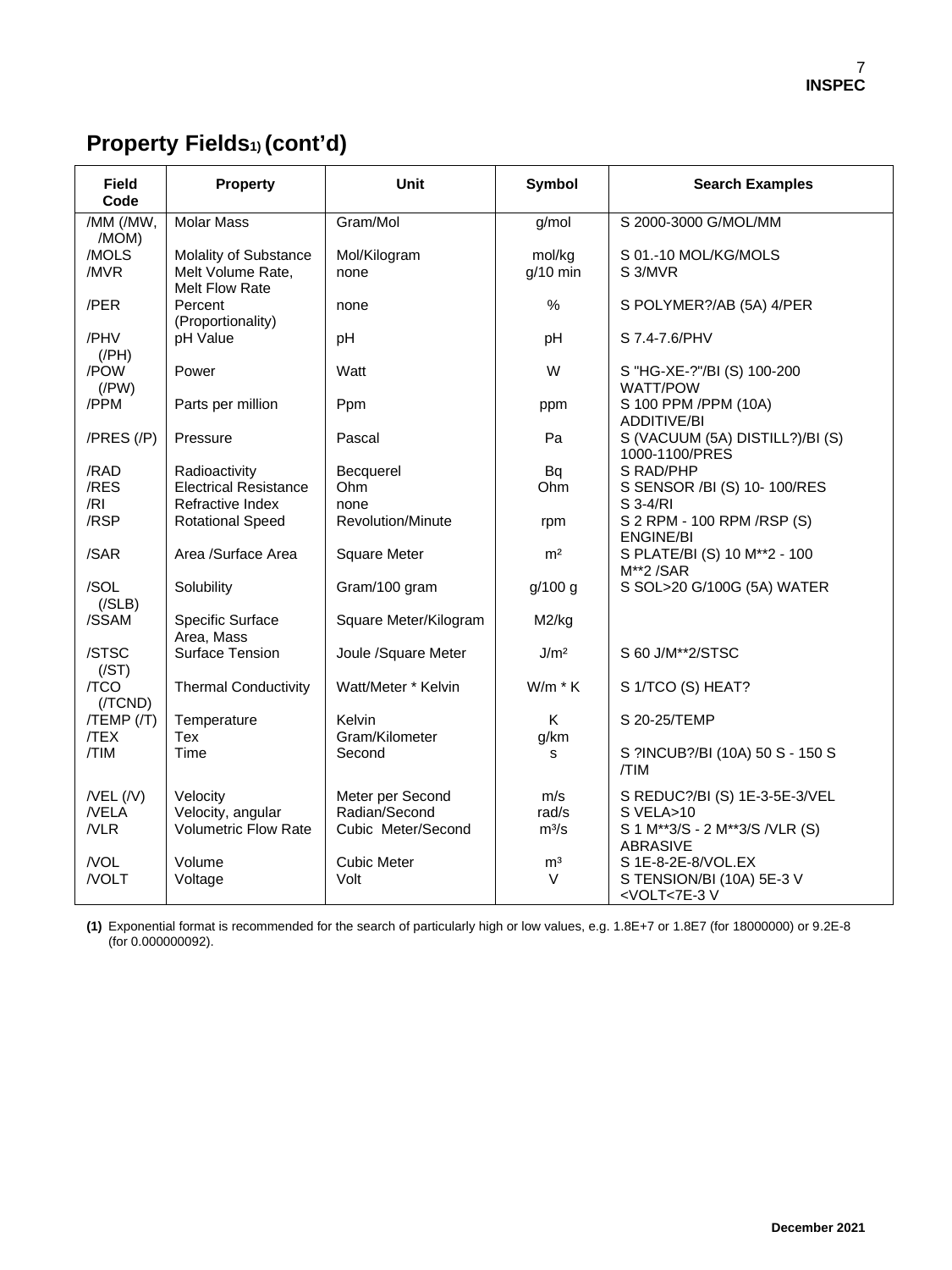# **Property Fields1) (cont'd)**

| <b>Field</b><br>Code                | <b>Property</b>                                              | Unit                                                    | Symbol                  | <b>Search Examples</b>                                                                          |
|-------------------------------------|--------------------------------------------------------------|---------------------------------------------------------|-------------------------|-------------------------------------------------------------------------------------------------|
| /MM (/MW,<br>/MOM)                  | <b>Molar Mass</b>                                            | Gram/Mol                                                | g/mol                   | S 2000-3000 G/MOL/MM                                                                            |
| /MOLS<br>/MVR                       | Molality of Substance<br>Melt Volume Rate,<br>Melt Flow Rate | Mol/Kilogram<br>none                                    | mol/kg<br>$g/10$ min    | S 01.-10 MOL/KG/MOLS<br>S 3/MVR                                                                 |
| /PER                                | Percent<br>(Proportionality)                                 | none                                                    | $\%$                    | S POLYMER?/AB (5A) 4/PER                                                                        |
| /PHV<br>$($ /PH $)$                 | pH Value                                                     | pH                                                      | рH                      | S 7.4-7.6/PHV                                                                                   |
| /POW<br>$($ /PW $)$                 | Power                                                        | Watt                                                    | W                       | S "HG-XE-?"/BI (S) 100-200<br><b>WATT/POW</b>                                                   |
| /PPM                                | Parts per million                                            | Ppm                                                     | ppm                     | S 100 PPM /PPM (10A)<br><b>ADDITIVE/BI</b>                                                      |
| $/PRES$ $//P)$                      | Pressure                                                     | Pascal                                                  | Pa                      | S (VACUUM (5A) DISTILL?)/BI (S)<br>1000-1100/PRES                                               |
| /RAD                                | Radioactivity                                                | Becquerel                                               | Bq                      | S RAD/PHP                                                                                       |
| /RES                                | <b>Electrical Resistance</b>                                 | Ohm                                                     | Ohm                     | S SENSOR /BI (S) 10-100/RES                                                                     |
| /RI                                 | Refractive Index                                             | none                                                    |                         | S 3-4/RI                                                                                        |
| /RSP                                | <b>Rotational Speed</b>                                      | <b>Revolution/Minute</b>                                | rpm                     | S 2 RPM - 100 RPM / RSP (S)<br><b>ENGINE/BI</b>                                                 |
| /SAR                                | Area /Surface Area                                           | <b>Square Meter</b>                                     | m <sup>2</sup>          | S PLATE/BI (S) 10 M**2 - 100<br>M**2/SAR                                                        |
| /SOL<br>( / SLB)                    | Solubility                                                   | Gram/100 gram                                           | g/100 g                 | S SOL>20 G/100G (5A) WATER                                                                      |
| /SSAM                               | Specific Surface<br>Area, Mass                               | Square Meter/Kilogram                                   | M2/kg                   |                                                                                                 |
| /STSC<br>(/ST)                      | Surface Tension                                              | Joule /Square Meter                                     | J/m <sup>2</sup>        | S 60 J/M**2/STSC                                                                                |
| /TCO<br>$($ /TCND $)$               | <b>Thermal Conductivity</b>                                  | Watt/Meter * Kelvin                                     | $W/m * K$               | S 1/TCO (S) HEAT?                                                                               |
| $/TEMP$ $/$<br><b>TEX</b>           | Temperature<br>Tex                                           | Kelvin<br>Gram/Kilometer                                | K<br>g/km               | S 20-25/TEMP                                                                                    |
| /TIM                                | Time                                                         | Second                                                  | s                       | S ?INCUB?/BI (10A) 50 S - 150 S<br>/TIM                                                         |
| $/$ VEL $($ /V $)$<br>/VELA<br>/VLR | Velocity<br>Velocity, angular<br><b>Volumetric Flow Rate</b> | Meter per Second<br>Radian/Second<br>Cubic Meter/Second | m/s<br>rad/s<br>$m^3/s$ | S REDUC?/BI (S) 1E-3-5E-3/VEL<br>S VELA>10<br>S 1 M**3/S - 2 M**3/S /VLR (S)<br><b>ABRASIVE</b> |
| /VOL<br>/VOLT                       | Volume<br>Voltage                                            | <b>Cubic Meter</b><br>Volt                              | m <sup>3</sup><br>V     | S 1E-8-2E-8/VOL.EX<br>S TENSION/BI (10A) 5E-3 V<br><volt<7e-3v< td=""></volt<7e-3v<>            |

**(1)** Exponential format is recommended for the search of particularly high or low values, e.g. 1.8E+7 or 1.8E7 (for 18000000) or 9.2E-8 (for 0.000000092).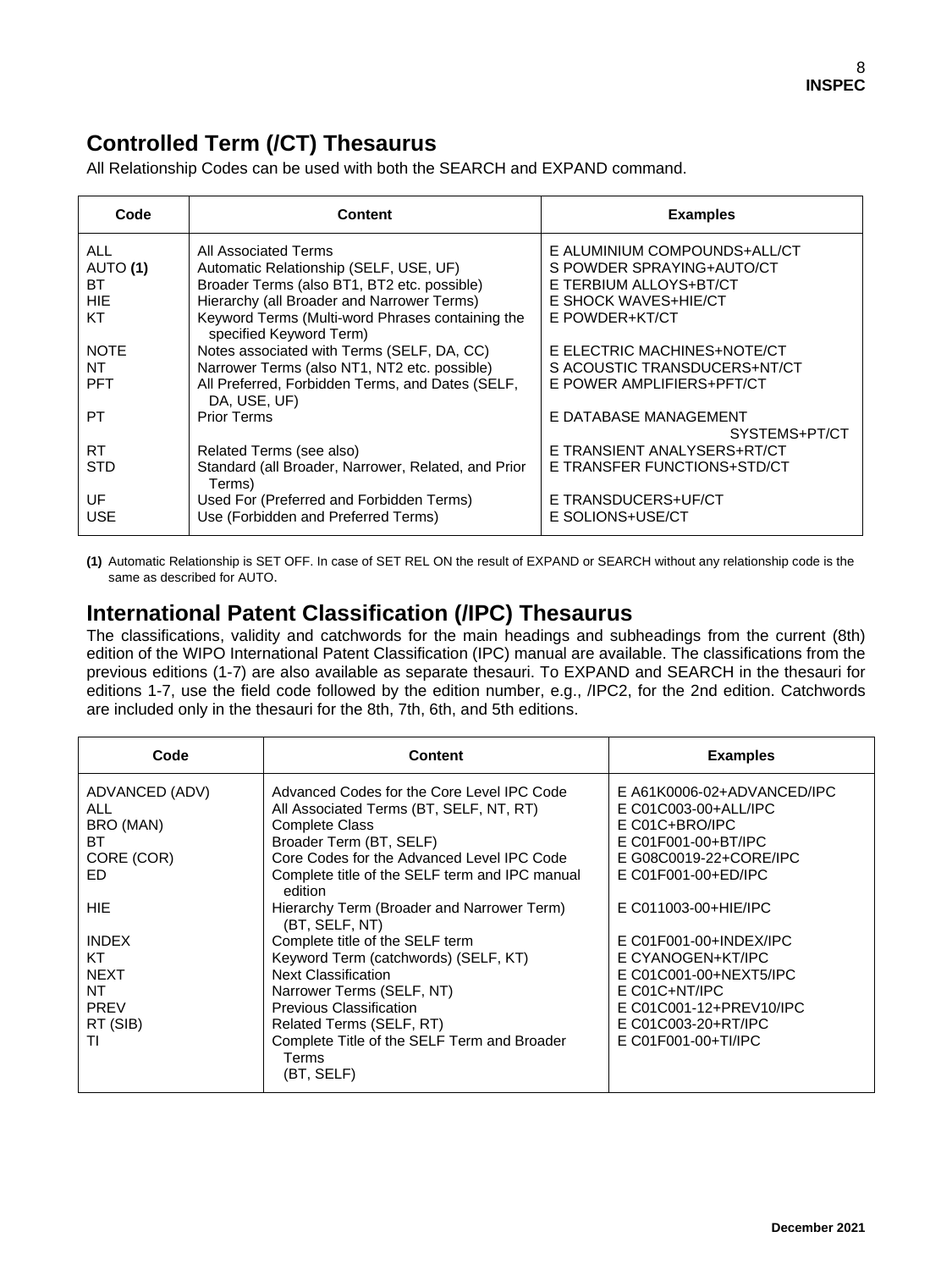### **Controlled Term (/CT) Thesaurus**

All Relationship Codes can be used with both the SEARCH and EXPAND command.

| Code        | Content                                                                     | <b>Examples</b>              |
|-------------|-----------------------------------------------------------------------------|------------------------------|
| ALL         | All Associated Terms                                                        | E ALUMINIUM COMPOUNDS+ALL/CT |
| AUTO (1)    | Automatic Relationship (SELF, USE, UF)                                      | S POWDER SPRAYING+AUTO/CT    |
| BT.         | Broader Terms (also BT1, BT2 etc. possible)                                 | E TERBIUM ALLOYS+BT/CT       |
| <b>HIE</b>  | Hierarchy (all Broader and Narrower Terms)                                  | E SHOCK WAVES+HIE/CT         |
| КT          | Keyword Terms (Multi-word Phrases containing the<br>specified Keyword Term) | E POWDER+KT/CT               |
| <b>NOTE</b> | Notes associated with Terms (SELF, DA, CC)                                  | E ELECTRIC MACHINES+NOTE/CT  |
| NT          | Narrower Terms (also NT1, NT2 etc. possible)                                | S ACOUSTIC TRANSDUCERS+NT/CT |
| <b>PFT</b>  | All Preferred, Forbidden Terms, and Dates (SELF,<br>DA, USE, UF)            | E POWER AMPLIFIERS+PFT/CT    |
| PT          | <b>Prior Terms</b>                                                          | E DATABASE MANAGEMENT        |
|             |                                                                             | SYSTEMS+PT/CT                |
| RT          | Related Terms (see also)                                                    | E TRANSIENT ANALYSERS+RT/CT  |
| STD         | Standard (all Broader, Narrower, Related, and Prior<br>Terms)               | E TRANSFER FUNCTIONS+STD/CT  |
| UF          | Used For (Preferred and Forbidden Terms)                                    | E TRANSDUCERS+UF/CT          |
| USE         | Use (Forbidden and Preferred Terms)                                         | E SOLIONS+USE/CT             |

**(1)** Automatic Relationship is SET OFF. In case of SET REL ON the result of EXPAND or SEARCH without any relationship code is the same as described for AUTO.

#### **International Patent Classification (/IPC) Thesaurus**

The classifications, validity and catchwords for the main headings and subheadings from the current (8th) edition of the WIPO International Patent Classification (IPC) manual are available. The classifications from the previous editions (1-7) are also available as separate thesauri. To EXPAND and SEARCH in the thesauri for editions 1-7, use the field code followed by the edition number, e.g., /IPC2, for the 2nd edition. Catchwords are included only in the thesauri for the 8th, 7th, 6th, and 5th editions.

| Code                                                                     | <b>Content</b>                                                                                                                                                                                                                                                  | <b>Examples</b>                                                                                                                                                   |
|--------------------------------------------------------------------------|-----------------------------------------------------------------------------------------------------------------------------------------------------------------------------------------------------------------------------------------------------------------|-------------------------------------------------------------------------------------------------------------------------------------------------------------------|
| ADVANCED (ADV)<br>ALL<br>BRO (MAN)<br>BT.<br>CORE (COR)<br>ED.           | Advanced Codes for the Core Level IPC Code<br>All Associated Terms (BT, SELF, NT, RT)<br><b>Complete Class</b><br>Broader Term (BT, SELF)<br>Core Codes for the Advanced Level IPC Code<br>Complete title of the SELF term and IPC manual                       | E A61K0006-02+ADVANCED/IPC<br>E C01C003-00+ALL/IPC<br>$E CO1C + BRO/IPC$<br>E C01F001-00+BT/IPC<br>E G08C0019-22+CORE/IPC<br>E C01F001-00+ED/IPC                  |
| HIE.                                                                     | edition<br>Hierarchy Term (Broader and Narrower Term)<br>(BT, SELF, NT)                                                                                                                                                                                         | E C011003-00+HIE/IPC                                                                                                                                              |
| <b>INDEX</b><br>KT<br><b>NEXT</b><br>NT<br><b>PREV</b><br>RT (SIB)<br>ΤI | Complete title of the SELF term<br>Keyword Term (catchwords) (SELF, KT)<br><b>Next Classification</b><br>Narrower Terms (SELF, NT)<br>Previous Classification<br>Related Terms (SELF, RT)<br>Complete Title of the SELF Term and Broader<br>Terms<br>(BT, SELF) | E C01F001-00+INDEX/IPC<br>E CYANOGEN+KT/IPC<br>E C01C001-00+NEXT5/IPC<br>$E CO1C+NT/IPC$<br>E C01C001-12+PREV10/IPC<br>E C01C003-20+RT/IPC<br>E C01F001-00+TI/IPC |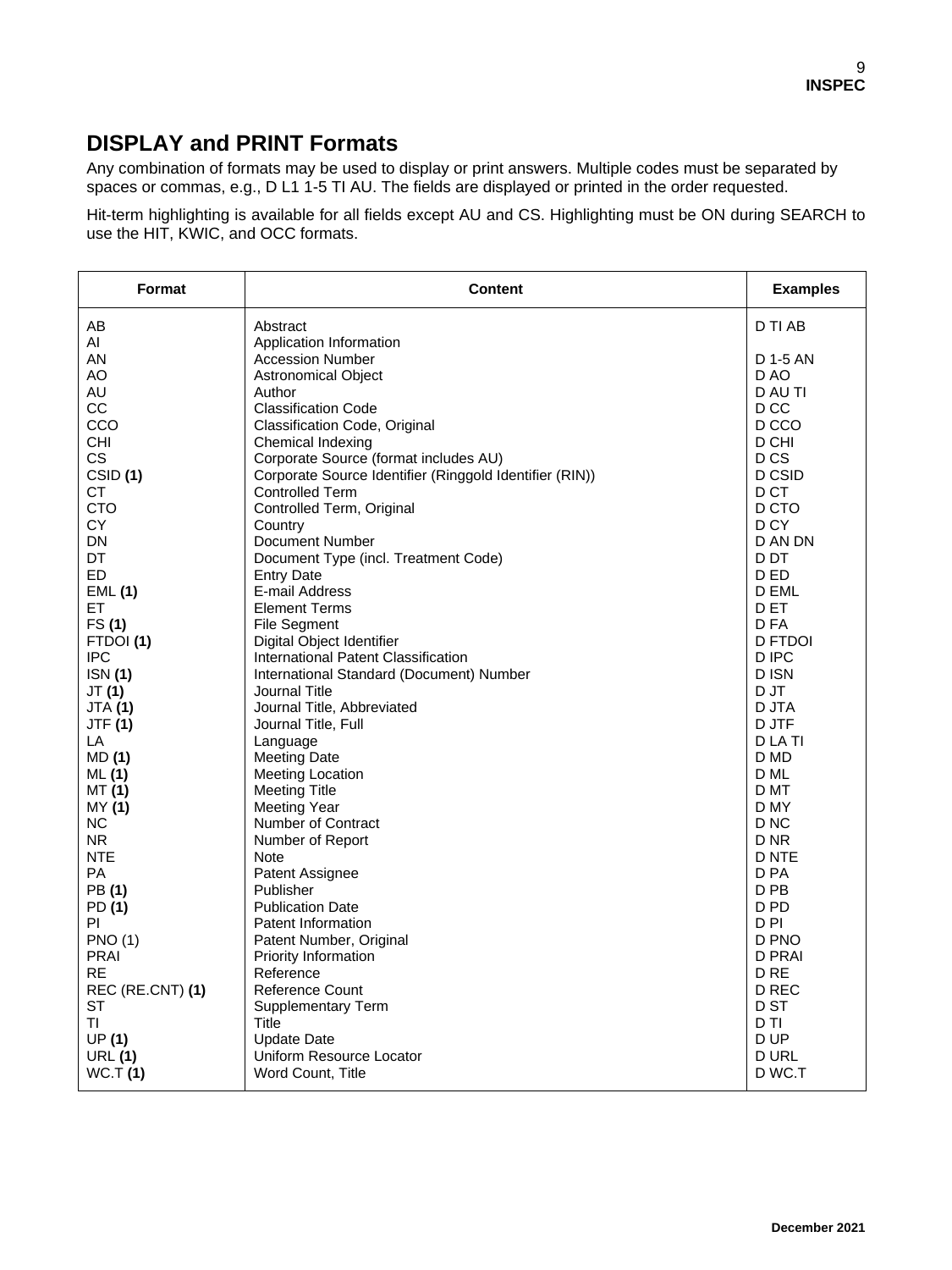### **DISPLAY and PRINT Formats**

Any combination of formats may be used to display or print answers. Multiple codes must be separated by spaces or commas, e.g., D L1 1-5 TI AU. The fields are displayed or printed in the order requested.

Hit-term highlighting is available for all fields except AU and CS. Highlighting must be ON during SEARCH to use the HIT, KWIC, and OCC formats.

| Format              | <b>Content</b>                                          | <b>Examples</b> |
|---------------------|---------------------------------------------------------|-----------------|
| AB                  | Abstract                                                | D TI AB         |
| AI                  | Application Information                                 |                 |
| AN                  | <b>Accession Number</b>                                 | D 1-5 AN        |
| AO                  | <b>Astronomical Object</b>                              | D AO            |
| AU                  | Author                                                  | D AU TI         |
| CС                  | <b>Classification Code</b>                              | D CC            |
| CCO                 | Classification Code, Original                           | D CCO           |
| CHI                 | Chemical Indexing                                       | D CHI           |
| <b>CS</b>           | Corporate Source (format includes AU)                   | D <sub>CS</sub> |
| CSID <sub>(1)</sub> | Corporate Source Identifier (Ringgold Identifier (RIN)) | D CSID          |
| СT                  | <b>Controlled Term</b>                                  | D CT            |
| <b>CTO</b>          | Controlled Term, Original                               | D CTO           |
| CY.                 | Country                                                 | D <sub>CY</sub> |
| DN                  | Document Number                                         | D AN DN         |
| DT                  | Document Type (incl. Treatment Code)                    | D DT            |
| ED                  | <b>Entry Date</b>                                       | D ED            |
| EML(1)              | E-mail Address                                          | D EML           |
| EТ                  | <b>Element Terms</b>                                    | D ET            |
| FS(1)               | <b>File Segment</b>                                     | D FA            |
| FTDOI(1)            | Digital Object Identifier                               | D FTDOI         |
| <b>IPC</b>          | International Patent Classification                     | D IPC           |
| <b>ISN</b> (1)      | International Standard (Document) Number                | D ISN           |
| JT(1)               | Journal Title                                           | D JT            |
| <b>JTA (1)</b>      | Journal Title, Abbreviated                              | D JTA           |
| <b>JTF (1)</b>      | Journal Title, Full                                     | D JTF           |
| LA                  | Language                                                | D LA TI         |
| MD (1)              | <b>Meeting Date</b>                                     | D MD            |
| ML(1)               | <b>Meeting Location</b>                                 | D ML            |
| MT (1)              | <b>Meeting Title</b>                                    | D MT            |
| MY (1)              | Meeting Year                                            | D MY            |
| NC.                 | <b>Number of Contract</b>                               | D <sub>NC</sub> |
| N <sub>R</sub>      | Number of Report                                        | D <sub>NR</sub> |
| <b>NTE</b>          | Note                                                    | D NTE           |
| PA                  | Patent Assignee                                         | D PA            |
| PB(1)               | Publisher                                               | D PB            |
| PD (1)              | <b>Publication Date</b>                                 | D <sub>PD</sub> |
| PI                  | Patent Information                                      | D <sub>PI</sub> |
| <b>PNO (1)</b>      | Patent Number, Original                                 | D PNO           |
| <b>PRAI</b>         | Priority Information                                    | <b>D PRAI</b>   |
| <b>RE</b>           | Reference                                               | D <sub>RE</sub> |
| REC (RE.CNT) (1)    | Reference Count                                         | D REC           |
| ST                  | <b>Supplementary Term</b>                               | D ST            |
| ΤI                  | <b>Title</b>                                            | D TI            |
| UP(1)               | <b>Update Date</b>                                      | D UP            |
| <b>URL (1)</b>      | Uniform Resource Locator                                | <b>D URL</b>    |
| WC.T(1)             | Word Count, Title                                       | D WC.T          |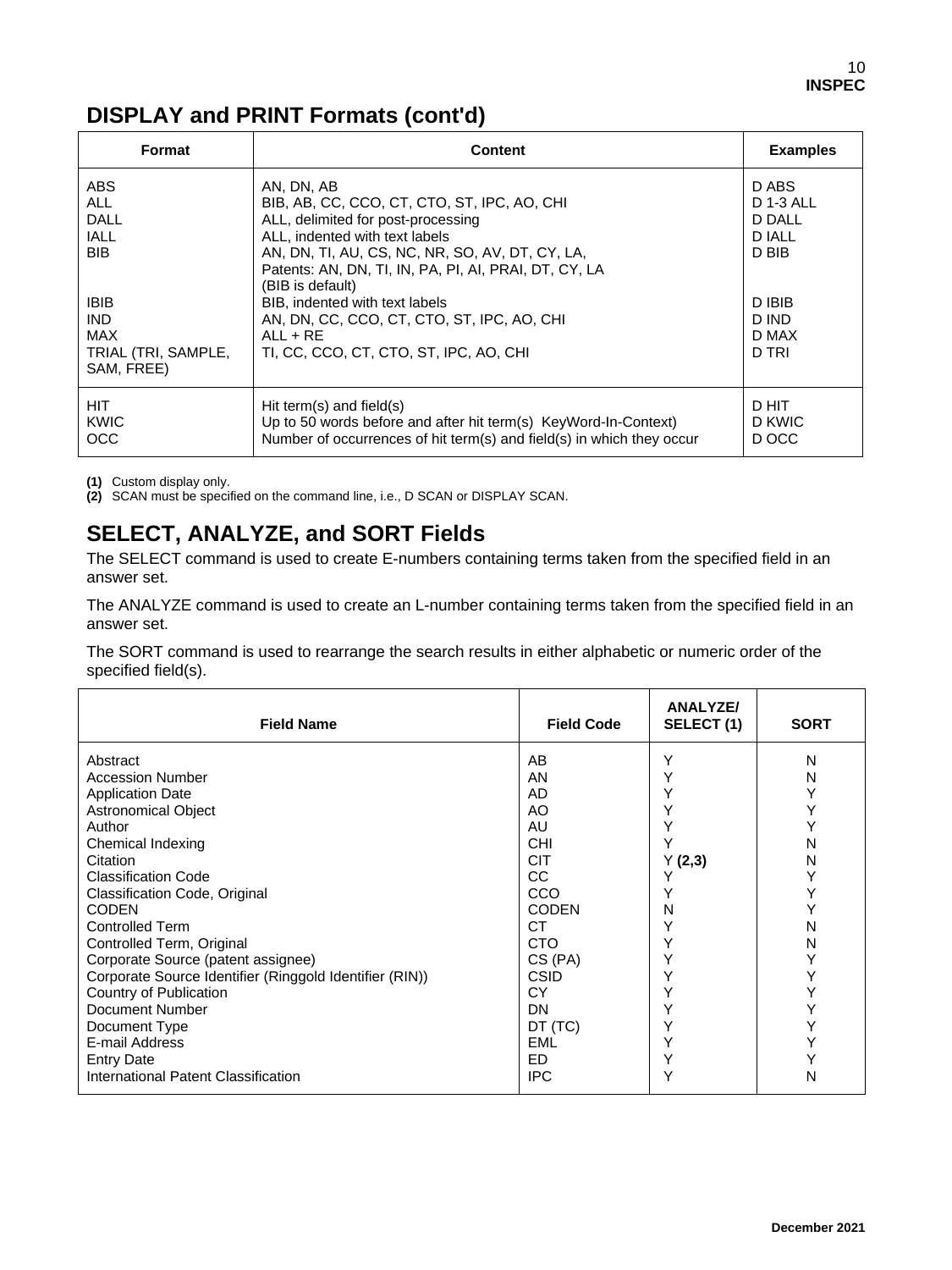# **DISPLAY and PRINT Formats (cont'd)**

| Format                                                                       | <b>Content</b>                                                                                                                                                                                                    | <b>Examples</b>                   |
|------------------------------------------------------------------------------|-------------------------------------------------------------------------------------------------------------------------------------------------------------------------------------------------------------------|-----------------------------------|
| <b>ABS</b>                                                                   | AN, DN, AB                                                                                                                                                                                                        | D ABS                             |
| <b>ALL</b>                                                                   | BIB, AB, CC, CCO, CT, CTO, ST, IPC, AO, CHI                                                                                                                                                                       | <b>D 1-3 ALL</b>                  |
| <b>DALL</b>                                                                  | ALL, delimited for post-processing                                                                                                                                                                                | D DALL                            |
| <b>IALL</b>                                                                  | ALL, indented with text labels                                                                                                                                                                                    | D IALL                            |
| <b>BIB</b>                                                                   | AN, DN, TI, AU, CS, NC, NR, SO, AV, DT, CY, LA,                                                                                                                                                                   | D BIB                             |
| <b>IBIB</b><br><b>IND</b><br><b>MAX</b><br>TRIAL (TRI, SAMPLE,<br>SAM, FREE) | Patents: AN, DN, TI, IN, PA, PI, AI, PRAI, DT, CY, LA<br>(BIB is default)<br>BIB, indented with text labels<br>AN, DN, CC, CCO, CT, CTO, ST, IPC, AO, CHI<br>$All + RF$<br>TI, CC, CCO, CT, CTO, ST, IPC, AO, CHI | D IBIB<br>D IND<br>D MAX<br>D TRI |
| HIT.                                                                         | Hit term(s) and field(s)                                                                                                                                                                                          | D HIT                             |
| <b>KWIC</b>                                                                  | Up to 50 words before and after hit term(s) KeyWord-In-Context)                                                                                                                                                   | D KWIC                            |
| <b>OCC</b>                                                                   | Number of occurrences of hit term(s) and field(s) in which they occur                                                                                                                                             | D OCC                             |

**(1)** Custom display only.

**(2)** SCAN must be specified on the command line, i.e., D SCAN or DISPLAY SCAN.

## **SELECT, ANALYZE, and SORT Fields**

The SELECT command is used to create E-numbers containing terms taken from the specified field in an answer set.

The ANALYZE command is used to create an L-number containing terms taken from the specified field in an answer set.

The SORT command is used to rearrange the search results in either alphabetic or numeric order of the specified field(s).

| <b>Field Name</b>                                                                                                                                                                                                                                                             | <b>Field Code</b>                                                                                                     | <b>ANALYZE/</b><br>SELECT (1)                            | <b>SORT</b>                               |
|-------------------------------------------------------------------------------------------------------------------------------------------------------------------------------------------------------------------------------------------------------------------------------|-----------------------------------------------------------------------------------------------------------------------|----------------------------------------------------------|-------------------------------------------|
| Abstract<br><b>Accession Number</b><br><b>Application Date</b><br><b>Astronomical Object</b><br>Author<br>Chemical Indexing<br>Citation<br><b>Classification Code</b><br>Classification Code, Original<br><b>CODEN</b><br><b>Controlled Term</b><br>Controlled Term, Original | AB<br>AN<br>AD<br>AO<br>AU<br><b>CHI</b><br><b>CIT</b><br><b>CC</b><br>CCO<br><b>CODEN</b><br><b>CT</b><br><b>CTO</b> | Y<br>Υ<br>Y<br>Y<br>v<br>Y(2,3)<br>Y<br>Υ<br>N<br>Y<br>Y | N<br>N<br>Υ<br>Y<br>Y<br>N<br>N<br>N<br>N |
| Corporate Source (patent assignee)<br>Corporate Source Identifier (Ringgold Identifier (RIN))<br>Country of Publication<br>Document Number<br>Document Type<br>E-mail Address<br><b>Entry Date</b><br>International Patent Classification                                     | CS (PA)<br><b>CSID</b><br><b>CY</b><br>DN<br>DT (TC)<br><b>EML</b><br>ED.<br><b>IPC</b>                               | Y<br>Y<br>Υ<br>Υ<br>Y<br>Y<br>Y<br>Y                     | Υ<br>Υ<br>Y<br>N                          |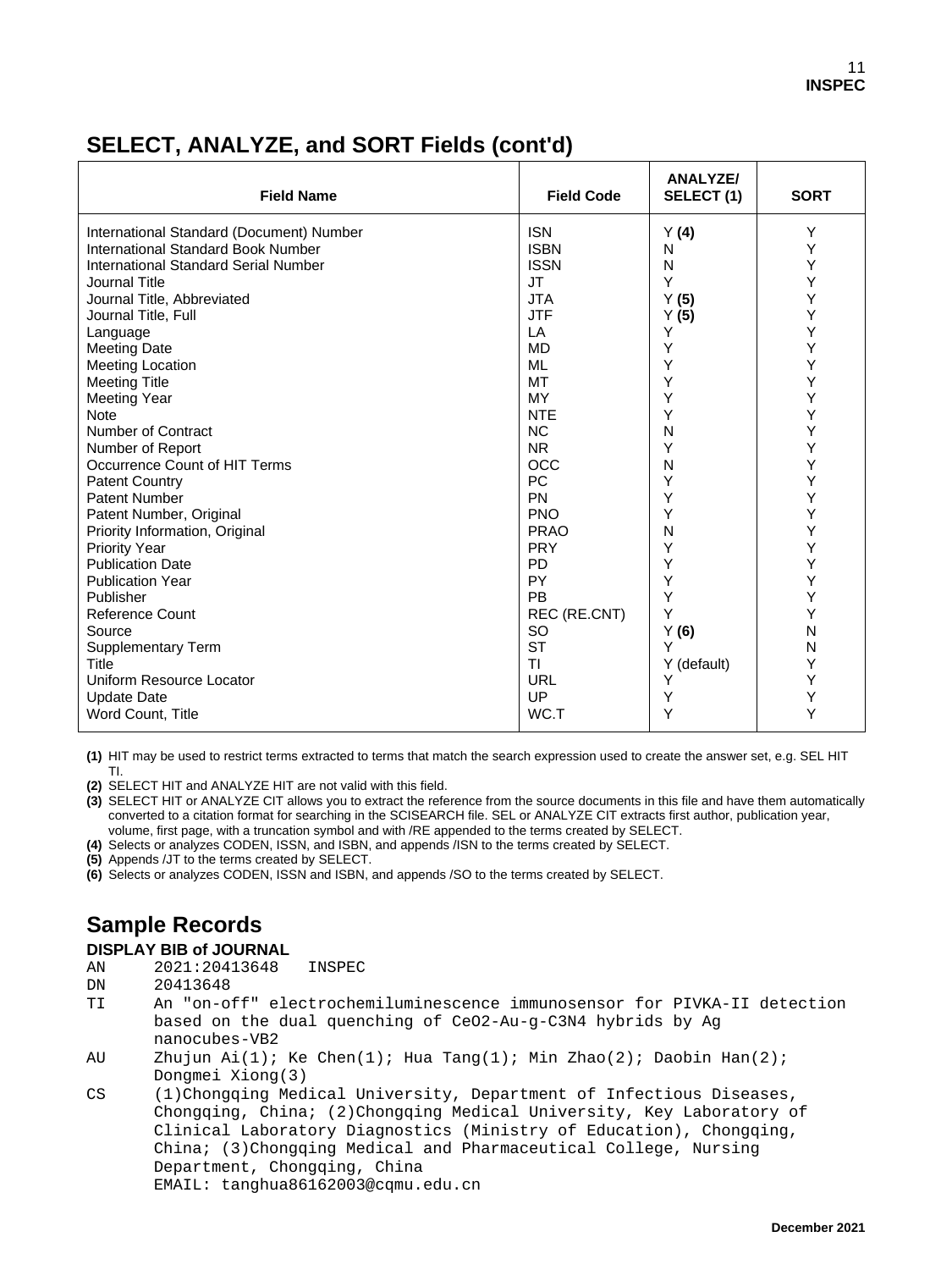# **SELECT, ANALYZE, and SORT Fields (cont'd)**

| <b>Field Name</b>                         | <b>Field Code</b> | <b>ANALYZE/</b><br>SELECT(1) | <b>SORT</b> |
|-------------------------------------------|-------------------|------------------------------|-------------|
| International Standard (Document) Number  | <b>ISN</b>        | Y(4)                         | Υ           |
| <b>International Standard Book Number</b> | <b>ISBN</b>       | N                            | Υ           |
| International Standard Serial Number      | <b>ISSN</b>       | N                            | Υ           |
| Journal Title                             | <b>JT</b>         | Y                            | Y           |
| Journal Title, Abbreviated                | <b>JTA</b>        | Y(5)                         | Υ           |
| Journal Title, Full                       | <b>JTF</b>        | Y(5)                         | Υ           |
| Language                                  | LA                | Υ                            | Υ           |
| <b>Meeting Date</b>                       | <b>MD</b>         | Υ                            | Υ           |
| <b>Meeting Location</b>                   | <b>ML</b>         | Υ                            | Υ           |
| <b>Meeting Title</b>                      | MT                | Υ                            | Υ           |
| <b>Meeting Year</b>                       | MY                | Υ                            | Υ           |
| <b>Note</b>                               | <b>NTE</b>        | Υ                            | Υ           |
| Number of Contract                        | <b>NC</b>         | N                            | Υ           |
| Number of Report                          | <b>NR</b>         | Υ                            | Y           |
| Occurrence Count of HIT Terms             | <b>OCC</b>        | N                            | Υ           |
| <b>Patent Country</b>                     | PC                | Υ                            | Υ           |
| Patent Number                             | <b>PN</b>         | Υ                            | Y           |
| Patent Number, Original                   | <b>PNO</b>        | Υ                            | Υ           |
| Priority Information, Original            | <b>PRAO</b>       | N                            | Υ           |
| <b>Priority Year</b>                      | <b>PRY</b>        | Υ                            | Υ           |
| <b>Publication Date</b>                   | <b>PD</b>         | Υ                            | Υ           |
| <b>Publication Year</b>                   | PY                | Υ                            | Υ           |
| Publisher                                 | PB                | Υ                            | Υ           |
| <b>Reference Count</b>                    | REC (RE.CNT)      | Y                            | Y           |
| Source                                    | <b>SO</b>         | Y(6)                         | N           |
| <b>Supplementary Term</b>                 | <b>ST</b>         | Y                            | N           |
| Title                                     | <b>TI</b>         | Y (default)                  | Y           |
| Uniform Resource Locator                  | <b>URL</b>        | Υ                            | Υ           |
| <b>Update Date</b>                        | UP                | Υ                            | Y           |
| Word Count, Title                         | WC.T              | Υ                            | Y           |

**(1)** HIT may be used to restrict terms extracted to terms that match the search expression used to create the answer set, e.g. SEL HIT TI.

**(2)** SELECT HIT and ANALYZE HIT are not valid with this field.

**(3)** SELECT HIT or ANALYZE CIT allows you to extract the reference from the source documents in this file and have them automatically converted to a citation format for searching in the SCISEARCH file. SEL or ANALYZE CIT extracts first author, publication year, volume, first page, with a truncation symbol and with /RE appended to the terms created by SELECT.

**(4)** Selects or analyzes CODEN, ISSN, and ISBN, and appends /ISN to the terms created by SELECT.

**(5)** Appends /JT to the terms created by SELECT.

**(6)** Selects or analyzes CODEN, ISSN and ISBN, and appends /SO to the terms created by SELECT.

# **Sample Records**

#### **DISPLAY BIB of JOURNAL**

AN 2021:20413648 INSPEC

DN 20413648<br>TI An "on-o

- An "on-off" electrochemiluminescence immunosensor for PIVKA-II detection based on the dual quenching of CeO2-Au-g-C3N4 hybrids by Ag nanocubes-VB2<br>AU Zhujun Ai(1);
- Zhujun Ai(1); Ke Chen(1); Hua Tang(1); Min Zhao(2); Daobin Han(2);
- Dongmei Xiong(3)<br>CS (1)Chongqing Med (1)Chongqing Medical University, Department of Infectious Diseases, Chongqing, China; (2)Chongqing Medical University, Key Laboratory of Clinical Laboratory Diagnostics (Ministry of Education), Chongqing, China; (3)Chongqing Medical and Pharmaceutical College, Nursing Department, Chongqing, China EMAIL: tanghua86162003@cqmu.edu.cn